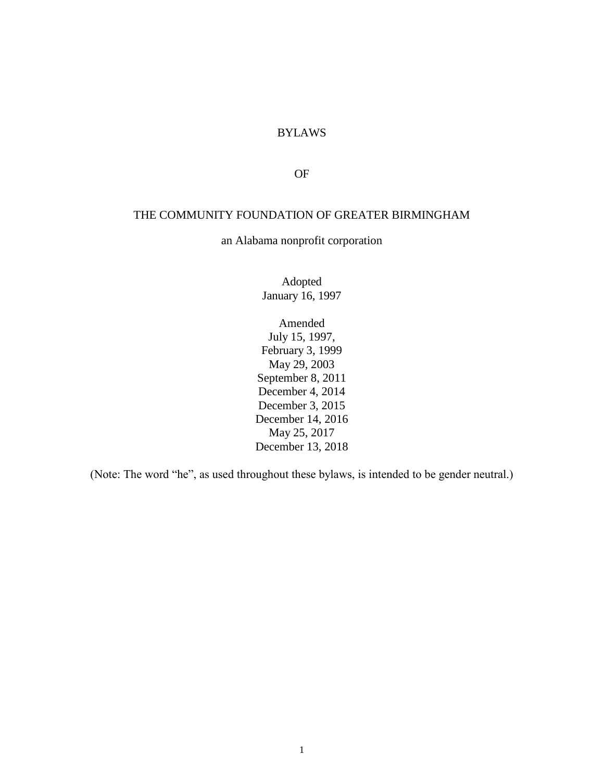# BYLAWS

OF

#### THE COMMUNITY FOUNDATION OF GREATER BIRMINGHAM

an Alabama nonprofit corporation

Adopted January 16, 1997

Amended July 15, 1997, February 3, 1999 May 29, 2003 September 8, 2011 December 4, 2014 December 3, 2015 December 14, 2016 May 25, 2017 December 13, 2018

(Note: The word "he", as used throughout these bylaws, is intended to be gender neutral.)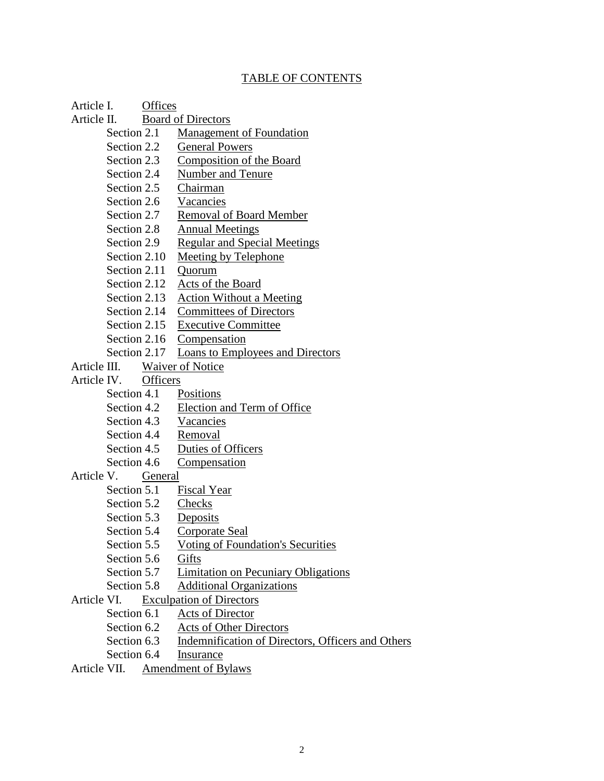## TABLE OF CONTENTS

Article I. Offices

- Article II. Board of Directors
	- Section 2.1 Management of Foundation
	- Section 2.2 General Powers
	- Section 2.3 Composition of the Board
	- Section 2.4 Number and Tenure
	- Section 2.5 Chairman
	- Section 2.6 Vacancies
	- Section 2.7 Removal of Board Member
	- Section 2.8 Annual Meetings
	- Section 2.9 Regular and Special Meetings
	- Section 2.10 Meeting by Telephone
	- Section 2.11 Ouorum
	- Section 2.12 Acts of the Board
	- Section 2.13 Action Without a Meeting
	- Section 2.14 Committees of Directors
	- Section 2.15 Executive Committee
	- Section 2.16 Compensation
	- Section 2.17 Loans to Employees and Directors
- Article III. Waiver of Notice
- Article IV. Officers
	- Section 4.1 Positions
	- Section 4.2 Election and Term of Office
	- Section 4.3 Vacancies
	- Section 4.4 Removal
	- Section 4.5 Duties of Officers
	- Section 4.6 Compensation

### Article V. General

- Section 5.1 Fiscal Year
- Section 5.2 Checks
- Section 5.3 Deposits
- Section 5.4 Corporate Seal
- Section 5.5 Voting of Foundation's Securities
- Section 5.6 Gifts
- Section 5.7 Limitation on Pecuniary Obligations
- Section 5.8 Additional Organizations
- Article VI. Exculpation of Directors
	- Section 6.1 Acts of Director
	- Section 6.2 Acts of Other Directors
	- Section 6.3 Indemnification of Directors, Officers and Others
	- Section 6.4 Insurance
- Article VII. Amendment of Bylaws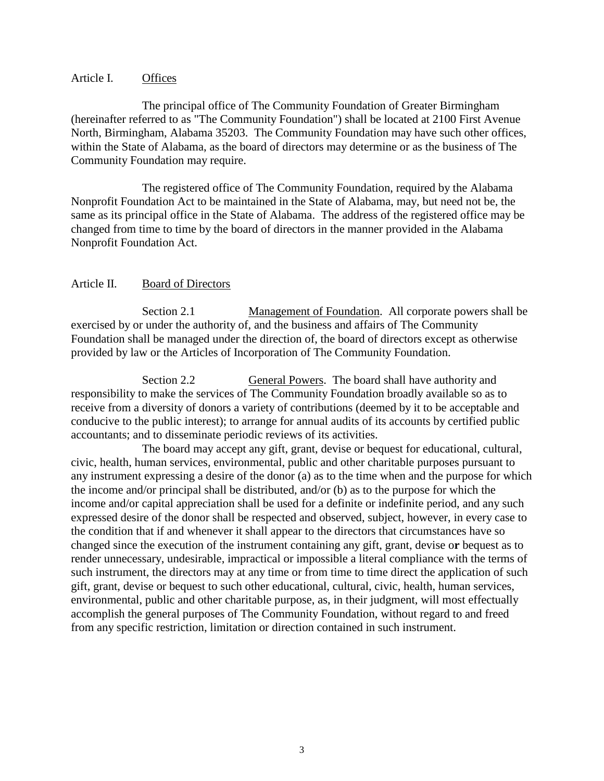### Article I. Offices

The principal office of The Community Foundation of Greater Birmingham (hereinafter referred to as "The Community Foundation") shall be located at 2100 First Avenue North, Birmingham, Alabama 35203. The Community Foundation may have such other offices, within the State of Alabama, as the board of directors may determine or as the business of The Community Foundation may require.

The registered office of The Community Foundation, required by the Alabama Nonprofit Foundation Act to be maintained in the State of Alabama, may, but need not be, the same as its principal office in the State of Alabama. The address of the registered office may be changed from time to time by the board of directors in the manner provided in the Alabama Nonprofit Foundation Act.

### Article II. Board of Directors

Section 2.1 Management of Foundation. All corporate powers shall be exercised by or under the authority of, and the business and affairs of The Community Foundation shall be managed under the direction of, the board of directors except as otherwise provided by law or the Articles of Incorporation of The Community Foundation.

Section 2.2 General Powers. The board shall have authority and responsibility to make the services of The Community Foundation broadly available so as to receive from a diversity of donors a variety of contributions (deemed by it to be acceptable and conducive to the public interest); to arrange for annual audits of its accounts by certified public accountants; and to disseminate periodic reviews of its activities.

The board may accept any gift, grant, devise or bequest for educational, cultural, civic, health, human services, environmental, public and other charitable purposes pursuant to any instrument expressing a desire of the donor (a) as to the time when and the purpose for which the income and/or principal shall be distributed, and/or (b) as to the purpose for which the income and/or capital appreciation shall be used for a definite or indefinite period, and any such expressed desire of the donor shall be respected and observed, subject, however, in every case to the condition that if and whenever it shall appear to the directors that circumstances have so changed since the execution of the instrument containing any gift, grant, devise o**r** bequest as to render unnecessary, undesirable, impractical or impossible a literal compliance with the terms of such instrument, the directors may at any time or from time to time direct the application of such gift, grant, devise or bequest to such other educational, cultural, civic, health, human services, environmental, public and other charitable purpose, as, in their judgment, will most effectually accomplish the general purposes of The Community Foundation, without regard to and freed from any specific restriction, limitation or direction contained in such instrument.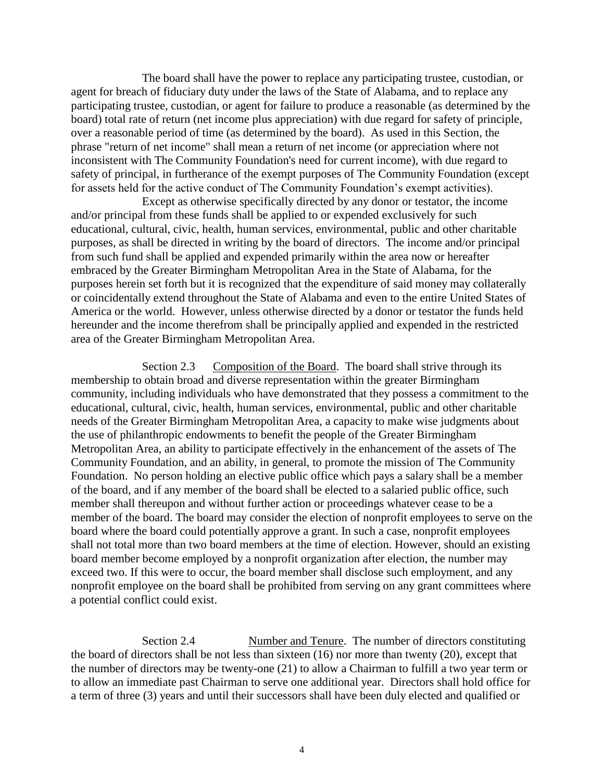The board shall have the power to replace any participating trustee, custodian, or agent for breach of fiduciary duty under the laws of the State of Alabama, and to replace any participating trustee, custodian, or agent for failure to produce a reasonable (as determined by the board) total rate of return (net income plus appreciation) with due regard for safety of principle, over a reasonable period of time (as determined by the board). As used in this Section, the phrase "return of net income" shall mean a return of net income (or appreciation where not inconsistent with The Community Foundation's need for current income), with due regard to safety of principal, in furtherance of the exempt purposes of The Community Foundation (except for assets held for the active conduct of The Community Foundation's exempt activities).

Except as otherwise specifically directed by any donor or testator, the income and/or principal from these funds shall be applied to or expended exclusively for such educational, cultural, civic, health, human services, environmental, public and other charitable purposes, as shall be directed in writing by the board of directors. The income and/or principal from such fund shall be applied and expended primarily within the area now or hereafter embraced by the Greater Birmingham Metropolitan Area in the State of Alabama, for the purposes herein set forth but it is recognized that the expenditure of said money may collaterally or coincidentally extend throughout the State of Alabama and even to the entire United States of America or the world. However, unless otherwise directed by a donor or testator the funds held hereunder and the income therefrom shall be principally applied and expended in the restricted area of the Greater Birmingham Metropolitan Area.

Section 2.3 Composition of the Board. The board shall strive through its membership to obtain broad and diverse representation within the greater Birmingham community, including individuals who have demonstrated that they possess a commitment to the educational, cultural, civic, health, human services, environmental, public and other charitable needs of the Greater Birmingham Metropolitan Area, a capacity to make wise judgments about the use of philanthropic endowments to benefit the people of the Greater Birmingham Metropolitan Area, an ability to participate effectively in the enhancement of the assets of The Community Foundation, and an ability, in general, to promote the mission of The Community Foundation. No person holding an elective public office which pays a salary shall be a member of the board, and if any member of the board shall be elected to a salaried public office, such member shall thereupon and without further action or proceedings whatever cease to be a member of the board. The board may consider the election of nonprofit employees to serve on the board where the board could potentially approve a grant. In such a case, nonprofit employees shall not total more than two board members at the time of election. However, should an existing board member become employed by a nonprofit organization after election, the number may exceed two. If this were to occur, the board member shall disclose such employment, and any nonprofit employee on the board shall be prohibited from serving on any grant committees where a potential conflict could exist.

Section 2.4 Number and Tenure.The number of directors constituting the board of directors shall be not less than sixteen (16) nor more than twenty (20), except that the number of directors may be twenty-one (21) to allow a Chairman to fulfill a two year term or to allow an immediate past Chairman to serve one additional year. Directors shall hold office for a term of three (3) years and until their successors shall have been duly elected and qualified or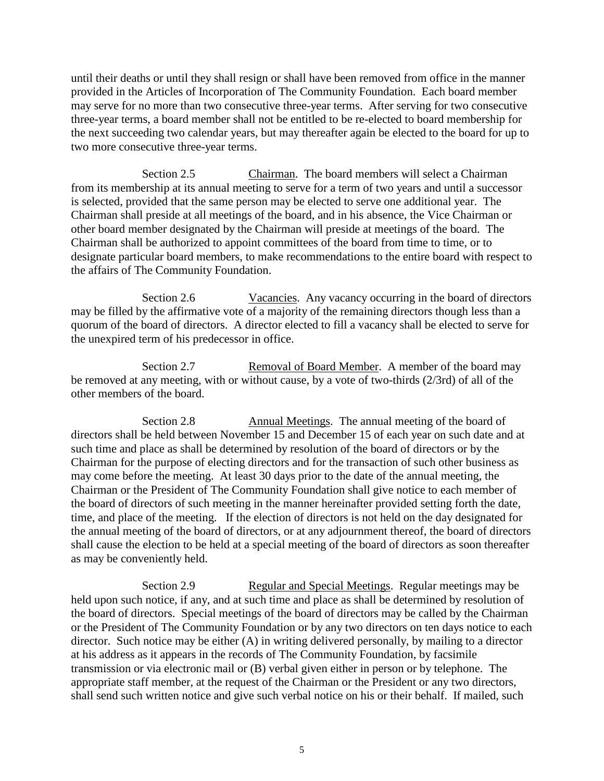until their deaths or until they shall resign or shall have been removed from office in the manner provided in the Articles of Incorporation of The Community Foundation. Each board member may serve for no more than two consecutive three-year terms.After serving for two consecutive three-year terms, a board member shall not be entitled to be re-elected to board membership for the next succeeding two calendar years, but may thereafter again be elected to the board for up to two more consecutive three-year terms.

Section 2.5 Chairman.The board members will select a Chairman from its membership at its annual meeting to serve for a term of two years and until a successor is selected, provided that the same person may be elected to serve one additional year.The Chairman shall preside at all meetings of the board, and in his absence, the Vice Chairman or other board member designated by the Chairman will preside at meetings of the board.The Chairman shall be authorized to appoint committees of the board from time to time, or to designate particular board members, to make recommendations to the entire board with respect to the affairs of The Community Foundation.

Section 2.6 Vacancies. Any vacancy occurring in the board of directors may be filled by the affirmative vote of a majority of the remaining directors though less than a quorum of the board of directors. A director elected to fill a vacancy shall be elected to serve for the unexpired term of his predecessor in office.

Section 2.7 Removal of Board Member. A member of the board may be removed at any meeting, with or without cause, by a vote of two-thirds (2/3rd) of all of the other members of the board.

Section 2.8 Annual Meetings. The annual meeting of the board of directors shall be held between November 15 and December 15 of each year on such date and at such time and place as shall be determined by resolution of the board of directors or by the Chairman for the purpose of electing directors and for the transaction of such other business as may come before the meeting. At least 30 days prior to the date of the annual meeting, the Chairman or the President of The Community Foundation shall give notice to each member of the board of directors of such meeting in the manner hereinafter provided setting forth the date, time, and place of the meeting. If the election of directors is not held on the day designated for the annual meeting of the board of directors, or at any adjournment thereof, the board of directors shall cause the election to be held at a special meeting of the board of directors as soon thereafter as may be conveniently held.

Section 2.9 Regular and Special Meetings. Regular meetings may be held upon such notice, if any, and at such time and place as shall be determined by resolution of the board of directors. Special meetings of the board of directors may be called by the Chairman or the President of The Community Foundation or by any two directors on ten days notice to each director. Such notice may be either (A) in writing delivered personally, by mailing to a director at his address as it appears in the records of The Community Foundation, by facsimile transmission or via electronic mail or (B) verbal given either in person or by telephone. The appropriate staff member, at the request of the Chairman or the President or any two directors, shall send such written notice and give such verbal notice on his or their behalf. If mailed, such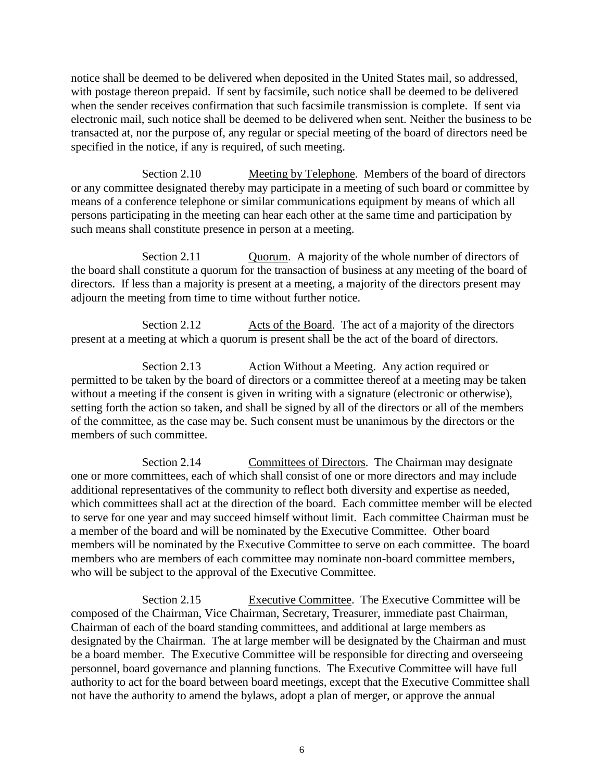notice shall be deemed to be delivered when deposited in the United States mail, so addressed, with postage thereon prepaid. If sent by facsimile, such notice shall be deemed to be delivered when the sender receives confirmation that such facsimile transmission is complete. If sent via electronic mail, such notice shall be deemed to be delivered when sent. Neither the business to be transacted at, nor the purpose of, any regular or special meeting of the board of directors need be specified in the notice, if any is required, of such meeting.

Section 2.10 Meeting by Telephone. Members of the board of directors or any committee designated thereby may participate in a meeting of such board or committee by means of a conference telephone or similar communications equipment by means of which all persons participating in the meeting can hear each other at the same time and participation by such means shall constitute presence in person at a meeting.

Section 2.11 Cuorum. A majority of the whole number of directors of the board shall constitute a quorum for the transaction of business at any meeting of the board of directors. If less than a majority is present at a meeting, a majority of the directors present may adjourn the meeting from time to time without further notice.

Section 2.12 Acts of the Board. The act of a majority of the directors present at a meeting at which a quorum is present shall be the act of the board of directors.

Section 2.13 Action Without a Meeting. Any action required or permitted to be taken by the board of directors or a committee thereof at a meeting may be taken without a meeting if the consent is given in writing with a signature (electronic or otherwise), setting forth the action so taken, and shall be signed by all of the directors or all of the members of the committee, as the case may be. Such consent must be unanimous by the directors or the members of such committee.

Section 2.14 Committees of Directors. The Chairman may designate one or more committees, each of which shall consist of one or more directors and may include additional representatives of the community to reflect both diversity and expertise as needed, which committees shall act at the direction of the board. Each committee member will be elected to serve for one year and may succeed himself without limit. Each committee Chairman must be a member of the board and will be nominated by the Executive Committee. Other board members will be nominated by the Executive Committee to serve on each committee. The board members who are members of each committee may nominate non-board committee members, who will be subject to the approval of the Executive Committee.

Section 2.15 Executive Committee. The Executive Committee will be composed of the Chairman, Vice Chairman, Secretary, Treasurer, immediate past Chairman, Chairman of each of the board standing committees, and additional at large members as designated by the Chairman. The at large member will be designated by the Chairman and must be a board member. The Executive Committee will be responsible for directing and overseeing personnel, board governance and planning functions. The Executive Committee will have full authority to act for the board between board meetings, except that the Executive Committee shall not have the authority to amend the bylaws, adopt a plan of merger, or approve the annual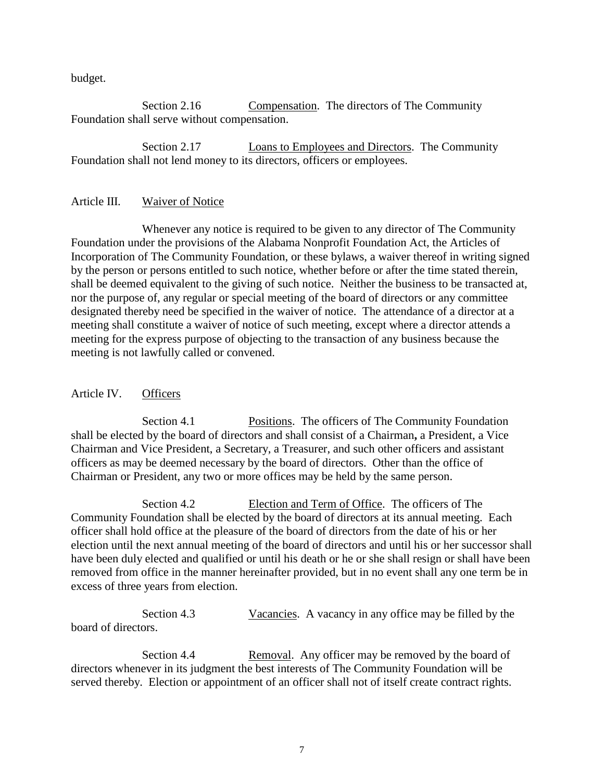budget.

Section 2.16 Compensation. The directors of The Community Foundation shall serve without compensation.

Section 2.17 Loans to Employees and Directors. The Community Foundation shall not lend money to its directors, officers or employees.

### Article III. Waiver of Notice

Whenever any notice is required to be given to any director of The Community Foundation under the provisions of the Alabama Nonprofit Foundation Act, the Articles of Incorporation of The Community Foundation, or these bylaws, a waiver thereof in writing signed by the person or persons entitled to such notice, whether before or after the time stated therein, shall be deemed equivalent to the giving of such notice. Neither the business to be transacted at, nor the purpose of, any regular or special meeting of the board of directors or any committee designated thereby need be specified in the waiver of notice. The attendance of a director at a meeting shall constitute a waiver of notice of such meeting, except where a director attends a meeting for the express purpose of objecting to the transaction of any business because the meeting is not lawfully called or convened.

### Article IV. Officers

Section 4.1 Positions. The officers of The Community Foundation shall be elected by the board of directors and shall consist of a Chairman**,** a President, a Vice Chairman and Vice President, a Secretary, a Treasurer, and such other officers and assistant officers as may be deemed necessary by the board of directors. Other than the office of Chairman or President, any two or more offices may be held by the same person.

Section 4.2 Election and Term of Office. The officers of The Community Foundation shall be elected by the board of directors at its annual meeting. Each officer shall hold office at the pleasure of the board of directors from the date of his or her election until the next annual meeting of the board of directors and until his or her successor shall have been duly elected and qualified or until his death or he or she shall resign or shall have been removed from office in the manner hereinafter provided, but in no event shall any one term be in excess of three years from election.

Section 4.3 Vacancies. A vacancy in any office may be filled by the board of directors.

Section 4.4 Removal. Any officer may be removed by the board of directors whenever in its judgment the best interests of The Community Foundation will be served thereby. Election or appointment of an officer shall not of itself create contract rights.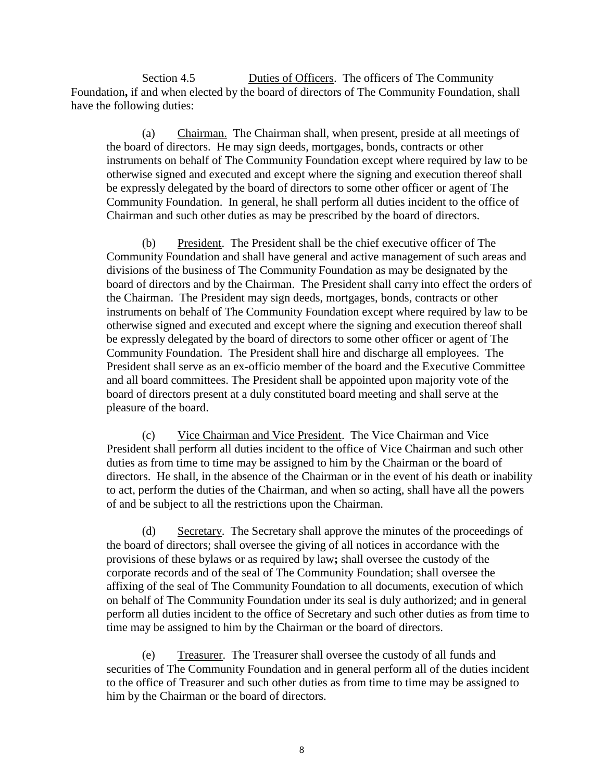Section 4.5 **Duties of Officers.** The officers of The Community Foundation**,** if and when elected by the board of directors of The Community Foundation, shall have the following duties:

(a) Chairman. The Chairman shall, when present, preside at all meetings of the board of directors. He may sign deeds, mortgages, bonds, contracts or other instruments on behalf of The Community Foundation except where required by law to be otherwise signed and executed and except where the signing and execution thereof shall be expressly delegated by the board of directors to some other officer or agent of The Community Foundation. In general, he shall perform all duties incident to the office of Chairman and such other duties as may be prescribed by the board of directors.

(b) President.The President shall be the chief executive officer of The Community Foundation and shall have general and active management of such areas and divisions of the business of The Community Foundation as may be designated by the board of directors and by the Chairman.The President shall carry into effect the orders of the Chairman. The President may sign deeds, mortgages, bonds, contracts or other instruments on behalf of The Community Foundation except where required by law to be otherwise signed and executed and except where the signing and execution thereof shall be expressly delegated by the board of directors to some other officer or agent of The Community Foundation.The President shall hire and discharge all employees. The President shall serve as an ex-officio member of the board and the Executive Committee and all board committees. The President shall be appointed upon majority vote of the board of directors present at a duly constituted board meeting and shall serve at the pleasure of the board.

(c) Vice Chairman and Vice President. The Vice Chairman and Vice President shall perform all duties incident to the office of Vice Chairman and such other duties as from time to time may be assigned to him by the Chairman or the board of directors. He shall, in the absence of the Chairman or in the event of his death or inability to act, perform the duties of the Chairman, and when so acting, shall have all the powers of and be subject to all the restrictions upon the Chairman.

(d) Secretary. The Secretary shall approve the minutes of the proceedings of the board of directors; shall oversee the giving of all notices in accordance with the provisions of these bylaws or as required by law**;** shall oversee the custody of the corporate records and of the seal of The Community Foundation; shall oversee the affixing of the seal of The Community Foundation to all documents, execution of which on behalf of The Community Foundation under its seal is duly authorized; and in general perform all duties incident to the office of Secretary and such other duties as from time to time may be assigned to him by the Chairman or the board of directors.

(e) Treasurer. The Treasurer shall oversee the custody of all funds and securities of The Community Foundation and in general perform all of the duties incident to the office of Treasurer and such other duties as from time to time may be assigned to him by the Chairman or the board of directors.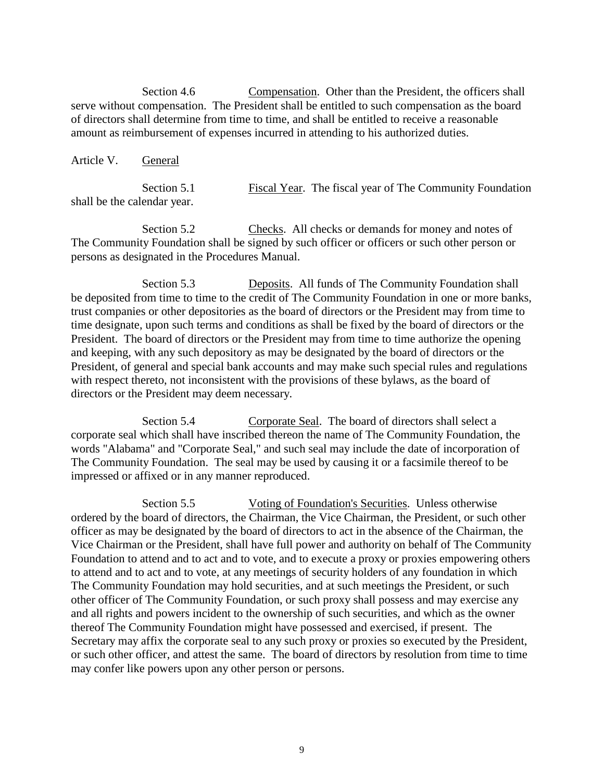Section 4.6 Compensation. Other than the President, the officers shall serve without compensation. The President shall be entitled to such compensation as the board of directors shall determine from time to time, and shall be entitled to receive a reasonable amount as reimbursement of expenses incurred in attending to his authorized duties.

Article V. General

Section 5.1 Fiscal Year. The fiscal year of The Community Foundation shall be the calendar year.

Section 5.2 Checks. All checks or demands for money and notes of The Community Foundation shall be signed by such officer or officers or such other person or persons as designated in the Procedures Manual.

Section 5.3 Deposits. All funds of The Community Foundation shall be deposited from time to time to the credit of The Community Foundation in one or more banks, trust companies or other depositories as the board of directors or the President may from time to time designate, upon such terms and conditions as shall be fixed by the board of directors or the President. The board of directors or the President may from time to time authorize the opening and keeping, with any such depository as may be designated by the board of directors or the President, of general and special bank accounts and may make such special rules and regulations with respect thereto, not inconsistent with the provisions of these bylaws, as the board of directors or the President may deem necessary.

Section 5.4 Corporate Seal. The board of directors shall select a corporate seal which shall have inscribed thereon the name of The Community Foundation, the words "Alabama" and "Corporate Seal," and such seal may include the date of incorporation of The Community Foundation. The seal may be used by causing it or a facsimile thereof to be impressed or affixed or in any manner reproduced.

Section 5.5 Voting of Foundation's Securities. Unless otherwise ordered by the board of directors, the Chairman, the Vice Chairman, the President, or such other officer as may be designated by the board of directors to act in the absence of the Chairman, the Vice Chairman or the President, shall have full power and authority on behalf of The Community Foundation to attend and to act and to vote, and to execute a proxy or proxies empowering others to attend and to act and to vote, at any meetings of security holders of any foundation in which The Community Foundation may hold securities, and at such meetings the President, or such other officer of The Community Foundation, or such proxy shall possess and may exercise any and all rights and powers incident to the ownership of such securities, and which as the owner thereof The Community Foundation might have possessed and exercised, if present. The Secretary may affix the corporate seal to any such proxy or proxies so executed by the President, or such other officer, and attest the same. The board of directors by resolution from time to time may confer like powers upon any other person or persons.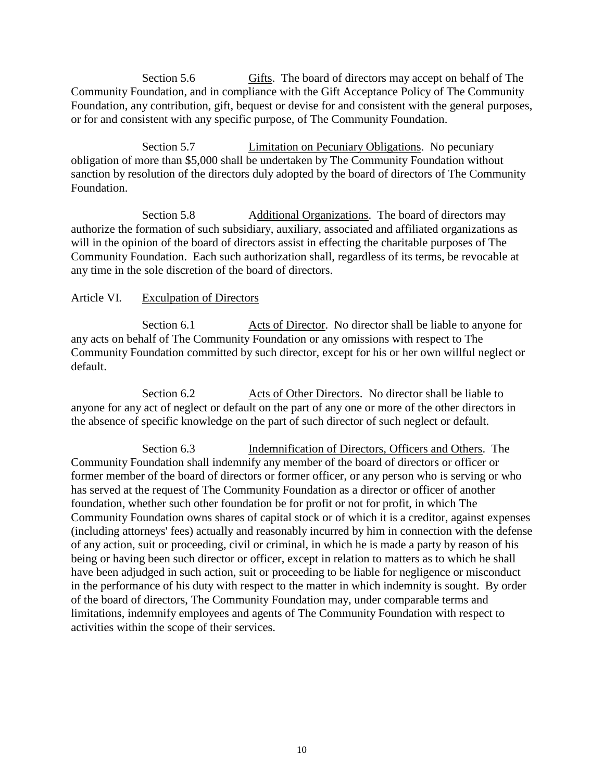Section 5.6 Gifts. The board of directors may accept on behalf of The Community Foundation, and in compliance with the Gift Acceptance Policy of The Community Foundation, any contribution, gift, bequest or devise for and consistent with the general purposes, or for and consistent with any specific purpose, of The Community Foundation.

Section 5.7 **Limitation on Pecuniary Obligations.** No pecuniary obligation of more than \$5,000 shall be undertaken by The Community Foundation without sanction by resolution of the directors duly adopted by the board of directors of The Community Foundation.

Section 5.8 Additional Organizations. The board of directors may authorize the formation of such subsidiary, auxiliary, associated and affiliated organizations as will in the opinion of the board of directors assist in effecting the charitable purposes of The Community Foundation. Each such authorization shall, regardless of its terms, be revocable at any time in the sole discretion of the board of directors.

## Article VI. Exculpation of Directors

Section 6.1 Acts of Director. No director shall be liable to anyone for any acts on behalf of The Community Foundation or any omissions with respect to The Community Foundation committed by such director, except for his or her own willful neglect or default.

Section 6.2 Acts of Other Directors. No director shall be liable to anyone for any act of neglect or default on the part of any one or more of the other directors in the absence of specific knowledge on the part of such director of such neglect or default.

Section 6.3 **Indemnification of Directors, Officers and Others.** The Community Foundation shall indemnify any member of the board of directors or officer or former member of the board of directors or former officer, or any person who is serving or who has served at the request of The Community Foundation as a director or officer of another foundation, whether such other foundation be for profit or not for profit, in which The Community Foundation owns shares of capital stock or of which it is a creditor, against expenses (including attorneys' fees) actually and reasonably incurred by him in connection with the defense of any action, suit or proceeding, civil or criminal, in which he is made a party by reason of his being or having been such director or officer, except in relation to matters as to which he shall have been adjudged in such action, suit or proceeding to be liable for negligence or misconduct in the performance of his duty with respect to the matter in which indemnity is sought. By order of the board of directors, The Community Foundation may, under comparable terms and limitations, indemnify employees and agents of The Community Foundation with respect to activities within the scope of their services.